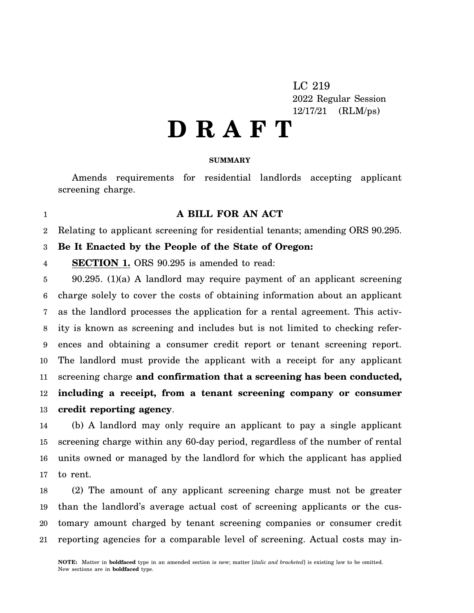LC 219 2022 Regular Session 12/17/21 (RLM/ps)

# **D R A F T**

## **SUMMARY**

Amends requirements for residential landlords accepting applicant screening charge.

## **A BILL FOR AN ACT**

2 Relating to applicant screening for residential tenants; amending ORS 90.295.

#### 3 **Be It Enacted by the People of the State of Oregon:**

4 **SECTION 1.** ORS 90.295 is amended to read:

1

5 6 7 8 9 10 11 12 13 90.295. (1)(a) A landlord may require payment of an applicant screening charge solely to cover the costs of obtaining information about an applicant as the landlord processes the application for a rental agreement. This activity is known as screening and includes but is not limited to checking references and obtaining a consumer credit report or tenant screening report. The landlord must provide the applicant with a receipt for any applicant screening charge **and confirmation that a screening has been conducted, including a receipt, from a tenant screening company or consumer credit reporting agency**.

14 15 16 17 (b) A landlord may only require an applicant to pay a single applicant screening charge within any 60-day period, regardless of the number of rental units owned or managed by the landlord for which the applicant has applied to rent.

18 19 20 21 (2) The amount of any applicant screening charge must not be greater than the landlord's average actual cost of screening applicants or the customary amount charged by tenant screening companies or consumer credit reporting agencies for a comparable level of screening. Actual costs may in-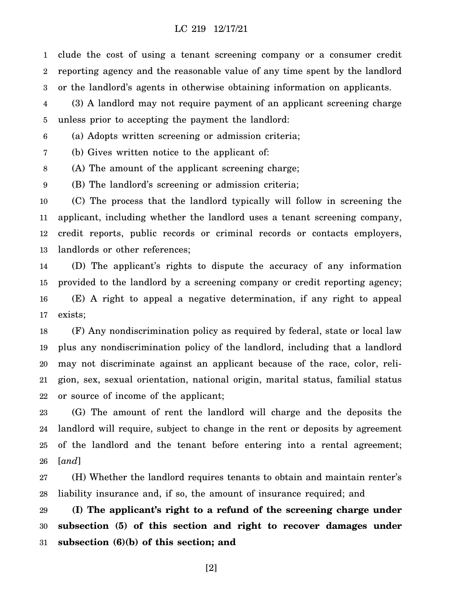## LC 219 12/17/21

1 2 3 clude the cost of using a tenant screening company or a consumer credit reporting agency and the reasonable value of any time spent by the landlord or the landlord's agents in otherwise obtaining information on applicants.

4 5 (3) A landlord may not require payment of an applicant screening charge unless prior to accepting the payment the landlord:

6 (a) Adopts written screening or admission criteria;

7 (b) Gives written notice to the applicant of:

8 (A) The amount of the applicant screening charge;

9 (B) The landlord's screening or admission criteria;

10 11 12 13 (C) The process that the landlord typically will follow in screening the applicant, including whether the landlord uses a tenant screening company, credit reports, public records or criminal records or contacts employers, landlords or other references;

14 15 16 17 (D) The applicant's rights to dispute the accuracy of any information provided to the landlord by a screening company or credit reporting agency; (E) A right to appeal a negative determination, if any right to appeal exists;

18 19 20 21 22 (F) Any nondiscrimination policy as required by federal, state or local law plus any nondiscrimination policy of the landlord, including that a landlord may not discriminate against an applicant because of the race, color, religion, sex, sexual orientation, national origin, marital status, familial status or source of income of the applicant;

23 24 25 26 (G) The amount of rent the landlord will charge and the deposits the landlord will require, subject to change in the rent or deposits by agreement of the landlord and the tenant before entering into a rental agreement; [*and*]

27 28 (H) Whether the landlord requires tenants to obtain and maintain renter's liability insurance and, if so, the amount of insurance required; and

29 30 31 **(I) The applicant's right to a refund of the screening charge under subsection (5) of this section and right to recover damages under subsection (6)(b) of this section; and**

[2]